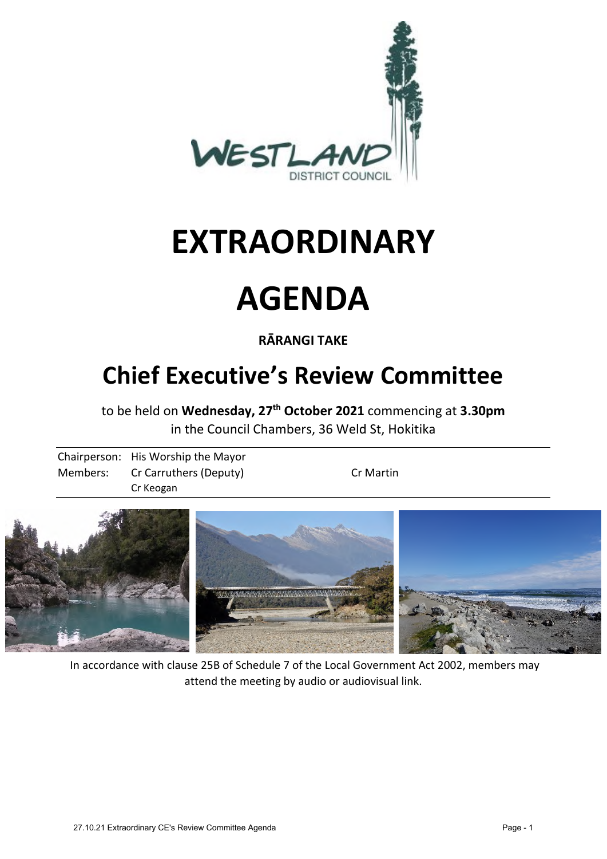

# **EXTRAORDINARY**

# **AGENDA**

## **RĀRANGI TAKE**

# **Chief Executive's Review Committee**

to be held on **Wednesday, 27th October 2021** commencing at **3.30pm**  in the Council Chambers, 36 Weld St, Hokitika

Chairperson: His Worship the Mayor Members: Cr Carruthers (Deputy) Cr Martin Cr Keogan



 In accordance with clause 25B of Schedule 7 of the Local Government Act 2002, members may attend the meeting by audio or audiovisual link.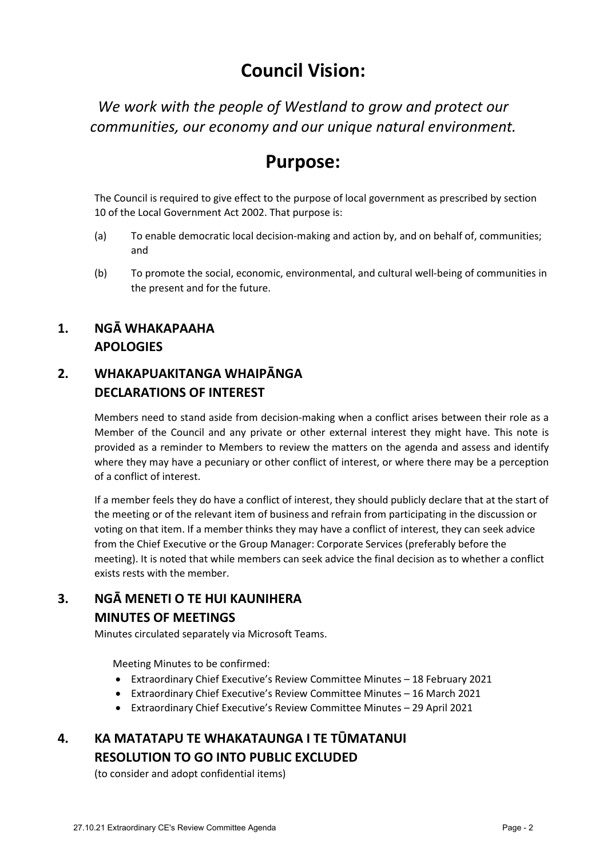# **Council Vision:**

*We work with the people of Westland to grow and protect our communities, our economy and our unique natural environment.* 

# **Purpose:**

The Council is required to give effect to the purpose of local government as prescribed by section 10 of the Local Government Act 2002. That purpose is:

- (a) To enable democratic local decision-making and action by, and on behalf of, communities; and
- (b) To promote the social, economic, environmental, and cultural well-being of communities in the present and for the future.

#### **1. NGĀ WHAKAPAAHA APOLOGIES**

#### **2. WHAKAPUAKITANGA WHAIPĀNGA DECLARATIONS OF INTEREST**

Members need to stand aside from decision-making when a conflict arises between their role as a Member of the Council and any private or other external interest they might have. This note is provided as a reminder to Members to review the matters on the agenda and assess and identify where they may have a pecuniary or other conflict of interest, or where there may be a perception of a conflict of interest.

If a member feels they do have a conflict of interest, they should publicly declare that at the start of the meeting or of the relevant item of business and refrain from participating in the discussion or voting on that item. If a member thinks they may have a conflict of interest, they can seek advice from the Chief Executive or the Group Manager: Corporate Services (preferably before the meeting). It is noted that while members can seek advice the final decision as to whether a conflict exists rests with the member.

### **3. NGĀ MENETI O TE HUI KAUNIHERA MINUTES OF MEETINGS**

Minutes circulated separately via Microsoft Teams.

Meeting Minutes to be confirmed:

- Extraordinary Chief Executive's Review Committee Minutes 18 February 2021
- Extraordinary Chief Executive's Review Committee Minutes 16 March 2021
- Extraordinary Chief Executive's Review Committee Minutes 29 April 2021

### **4. KA MATATAPU TE WHAKATAUNGA I TE TŪMATANUI RESOLUTION TO GO INTO PUBLIC EXCLUDED**

(to consider and adopt confidential items)